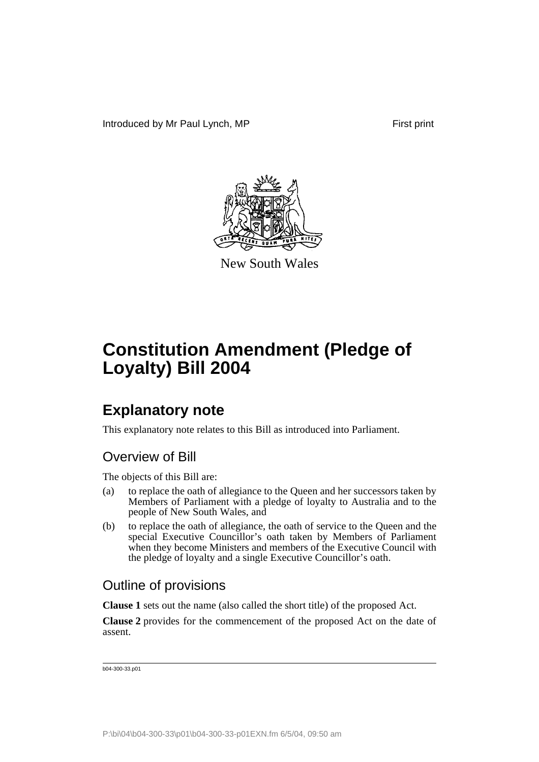Introduced by Mr Paul Lynch, MP First print



New South Wales

# **Constitution Amendment (Pledge of Loyalty) Bill 2004**

## **Explanatory note**

This explanatory note relates to this Bill as introduced into Parliament.

### Overview of Bill

The objects of this Bill are:

- (a) to replace the oath of allegiance to the Queen and her successors taken by Members of Parliament with a pledge of loyalty to Australia and to the people of New South Wales, and
- (b) to replace the oath of allegiance, the oath of service to the Queen and the special Executive Councillor's oath taken by Members of Parliament when they become Ministers and members of the Executive Council with the pledge of loyalty and a single Executive Councillor's oath.

### Outline of provisions

**Clause 1** sets out the name (also called the short title) of the proposed Act.

**Clause 2** provides for the commencement of the proposed Act on the date of assent.

b04-300-33.p01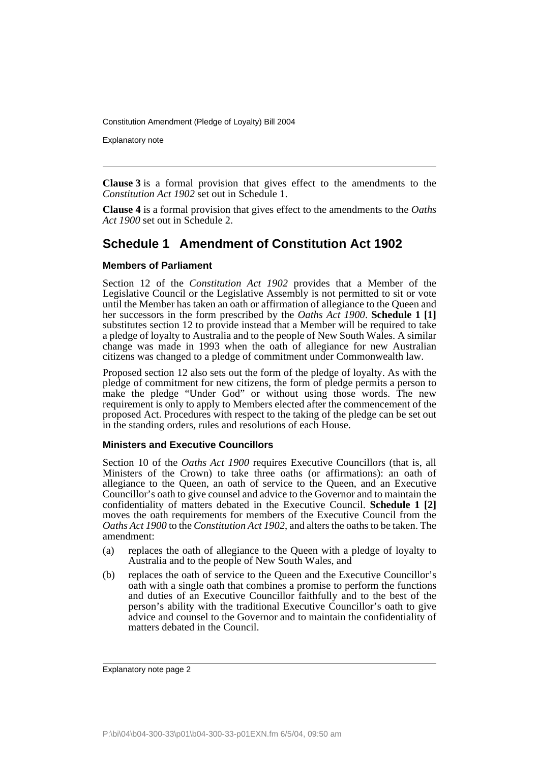Explanatory note

**Clause 3** is a formal provision that gives effect to the amendments to the *Constitution Act 1902* set out in Schedule 1.

**Clause 4** is a formal provision that gives effect to the amendments to the *Oaths Act 1900* set out in Schedule 2.

### **Schedule 1 Amendment of Constitution Act 1902**

#### **Members of Parliament**

Section 12 of the *Constitution Act 1902* provides that a Member of the Legislative Council or the Legislative Assembly is not permitted to sit or vote until the Member has taken an oath or affirmation of allegiance to the Queen and her successors in the form prescribed by the *Oaths Act 1900*. **Schedule 1 [1]** substitutes section 12 to provide instead that a Member will be required to take a pledge of loyalty to Australia and to the people of New South Wales. A similar change was made in 1993 when the oath of allegiance for new Australian citizens was changed to a pledge of commitment under Commonwealth law.

Proposed section 12 also sets out the form of the pledge of loyalty. As with the pledge of commitment for new citizens, the form of pledge permits a person to make the pledge "Under God" or without using those words. The new requirement is only to apply to Members elected after the commencement of the proposed Act. Procedures with respect to the taking of the pledge can be set out in the standing orders, rules and resolutions of each House.

#### **Ministers and Executive Councillors**

Section 10 of the *Oaths Act 1900* requires Executive Councillors (that is, all Ministers of the Crown) to take three oaths (or affirmations): an oath of allegiance to the Queen, an oath of service to the Queen, and an Executive Councillor's oath to give counsel and advice to the Governor and to maintain the confidentiality of matters debated in the Executive Council. **Schedule 1 [2]** moves the oath requirements for members of the Executive Council from the *Oaths Act 1900* to the *Constitution Act 1902*, and alters the oaths to be taken. The amendment:

- (a) replaces the oath of allegiance to the Queen with a pledge of loyalty to Australia and to the people of New South Wales, and
- (b) replaces the oath of service to the Queen and the Executive Councillor's oath with a single oath that combines a promise to perform the functions and duties of an Executive Councillor faithfully and to the best of the person's ability with the traditional Executive Councillor's oath to give advice and counsel to the Governor and to maintain the confidentiality of matters debated in the Council.

Explanatory note page 2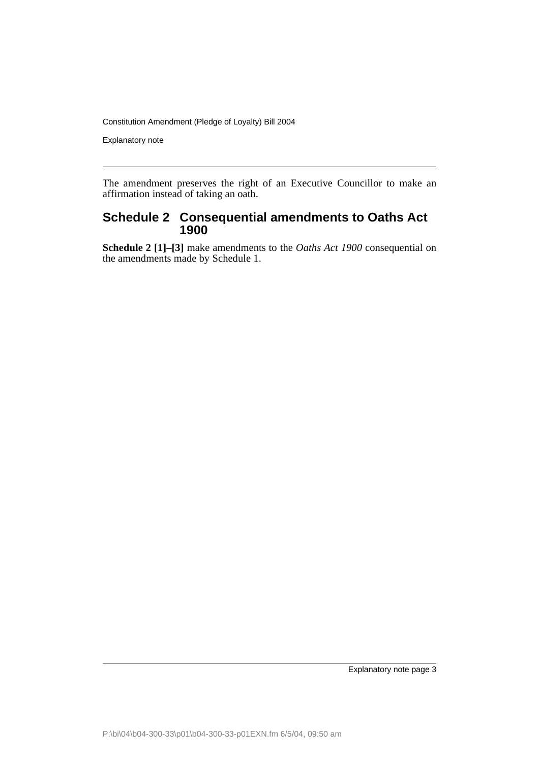Explanatory note

The amendment preserves the right of an Executive Councillor to make an affirmation instead of taking an oath.

#### **Schedule 2 Consequential amendments to Oaths Act 1900**

**Schedule 2 [1]–[3]** make amendments to the *Oaths Act 1900* consequential on the amendments made by Schedule 1.

Explanatory note page 3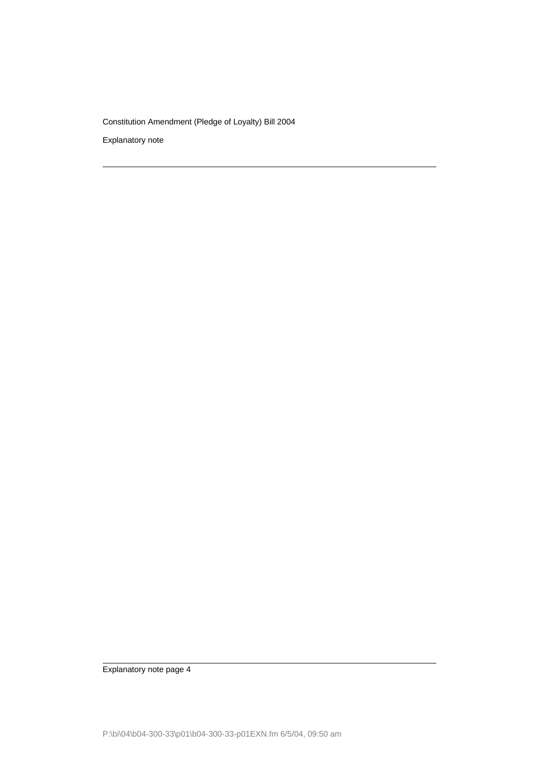Explanatory note

Explanatory note page 4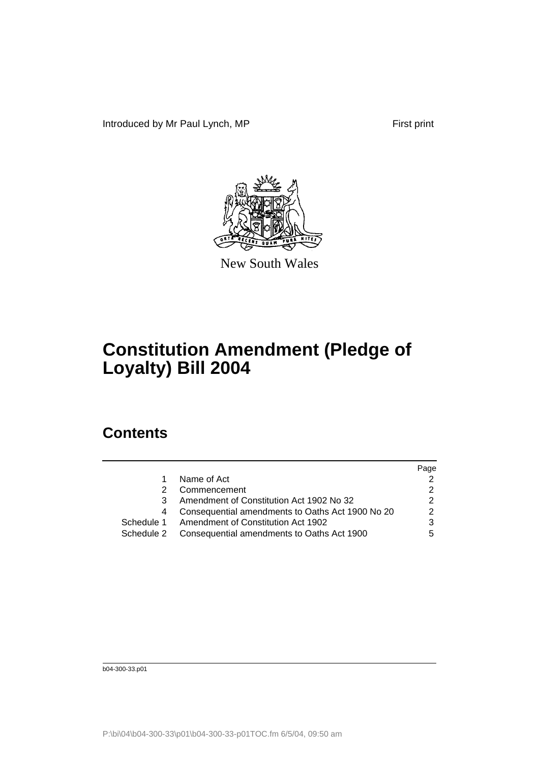Introduced by Mr Paul Lynch, MP First print



New South Wales

## **Constitution Amendment (Pledge of Loyalty) Bill 2004**

## **Contents**

|                                                       | Page |
|-------------------------------------------------------|------|
| Name of Act                                           |      |
| Commencement                                          |      |
| Amendment of Constitution Act 1902 No 32              |      |
| Consequential amendments to Oaths Act 1900 No 20      |      |
| Schedule 1 Amendment of Constitution Act 1902         |      |
| Schedule 2 Consequential amendments to Oaths Act 1900 | 5    |
|                                                       |      |

b04-300-33.p01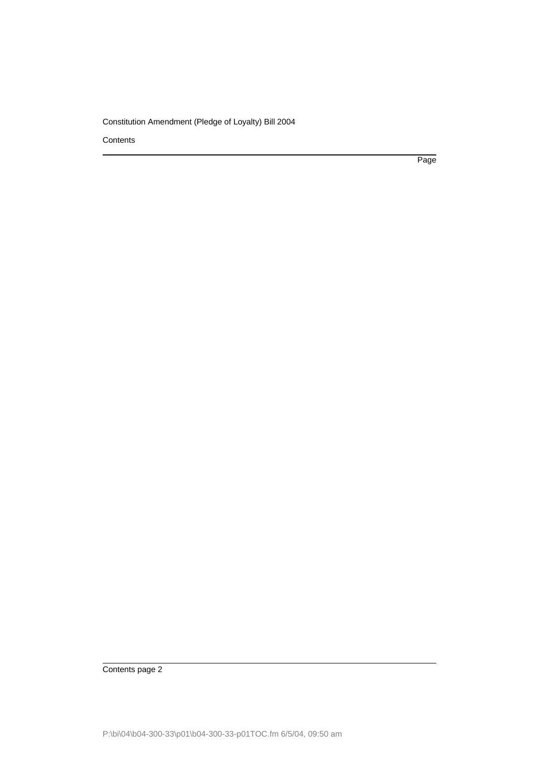**Contents** 

Page

Contents page 2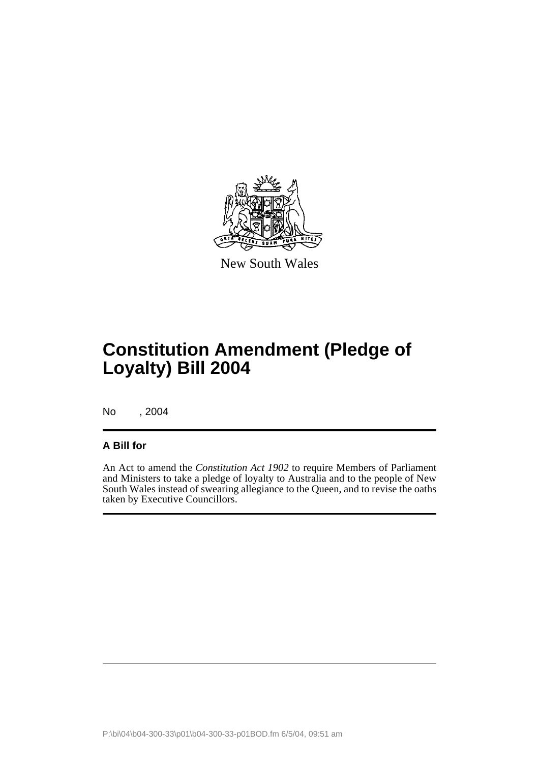

New South Wales

# **Constitution Amendment (Pledge of Loyalty) Bill 2004**

No , 2004

#### **A Bill for**

An Act to amend the *Constitution Act 1902* to require Members of Parliament and Ministers to take a pledge of loyalty to Australia and to the people of New South Wales instead of swearing allegiance to the Queen, and to revise the oaths taken by Executive Councillors.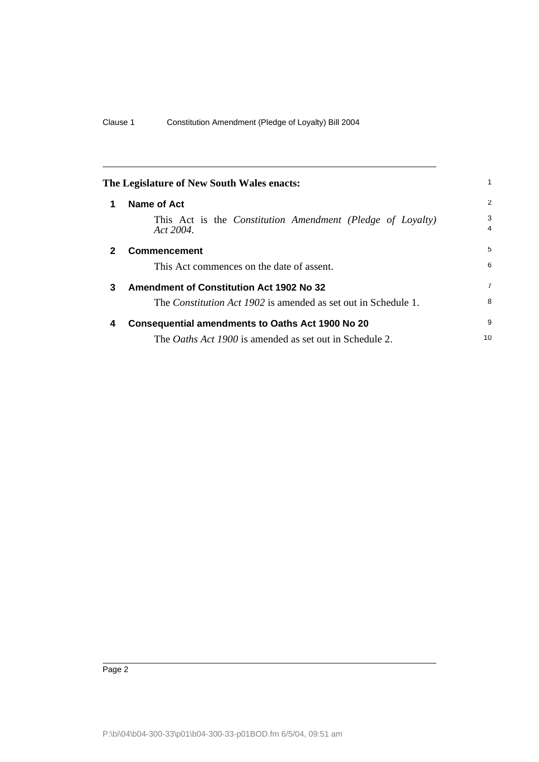<span id="page-7-3"></span><span id="page-7-2"></span><span id="page-7-1"></span><span id="page-7-0"></span>

|              | The Legislature of New South Wales enacts:                                     |                     |
|--------------|--------------------------------------------------------------------------------|---------------------|
| 1            | <b>Name of Act</b>                                                             | 2                   |
|              | This Act is the <i>Constitution Amendment (Pledge of Loyalty)</i><br>Act 2004. | 3<br>$\overline{4}$ |
| $\mathbf{2}$ | <b>Commencement</b>                                                            | 5                   |
|              | This Act commences on the date of assent.                                      | 6                   |
| 3            | <b>Amendment of Constitution Act 1902 No 32</b>                                | 7                   |
|              | The <i>Constitution Act 1902</i> is amended as set out in Schedule 1.          | 8                   |
| 4            | <b>Consequential amendments to Oaths Act 1900 No 20</b>                        | 9                   |
|              | The <i>Oaths Act 1900</i> is amended as set out in Schedule 2.                 | 10                  |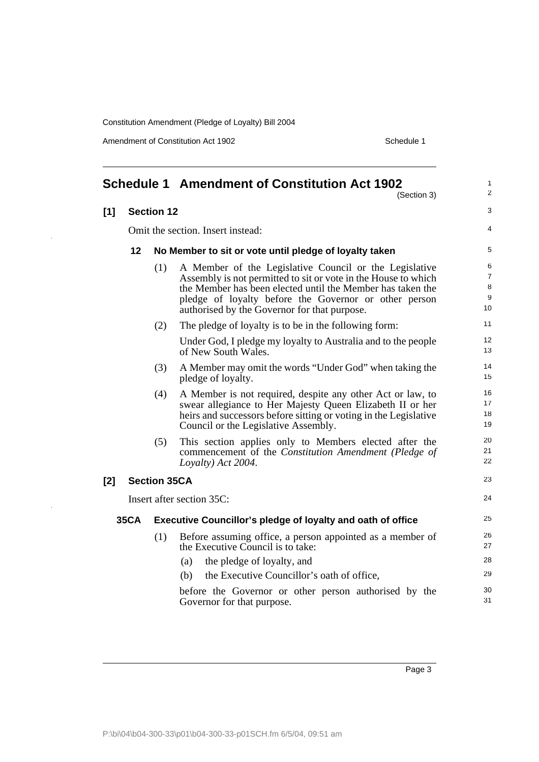Amendment of Constitution Act 1902 Schedule 1

<span id="page-8-0"></span>

|                           |                                                                                                                                                                                                                                                                                                                                                                                                                                                                                    |                     | <b>Schedule 1 Amendment of Constitution Act 1902</b><br>(Section 3)                                                                                                                                                                                                                             | 1<br>$\overline{2}$                 |
|---------------------------|------------------------------------------------------------------------------------------------------------------------------------------------------------------------------------------------------------------------------------------------------------------------------------------------------------------------------------------------------------------------------------------------------------------------------------------------------------------------------------|---------------------|-------------------------------------------------------------------------------------------------------------------------------------------------------------------------------------------------------------------------------------------------------------------------------------------------|-------------------------------------|
| <b>Section 12</b><br>[1]  |                                                                                                                                                                                                                                                                                                                                                                                                                                                                                    |                     |                                                                                                                                                                                                                                                                                                 | 3                                   |
|                           | Omit the section. Insert instead:                                                                                                                                                                                                                                                                                                                                                                                                                                                  |                     |                                                                                                                                                                                                                                                                                                 | 4                                   |
|                           | 12                                                                                                                                                                                                                                                                                                                                                                                                                                                                                 |                     | No Member to sit or vote until pledge of loyalty taken                                                                                                                                                                                                                                          | 5                                   |
|                           |                                                                                                                                                                                                                                                                                                                                                                                                                                                                                    | (1)                 | A Member of the Legislative Council or the Legislative<br>Assembly is not permitted to sit or vote in the House to which<br>the Member has been elected until the Member has taken the<br>pledge of loyalty before the Governor or other person<br>authorised by the Governor for that purpose. | 6<br>$\overline{7}$<br>8<br>9<br>10 |
|                           |                                                                                                                                                                                                                                                                                                                                                                                                                                                                                    | (2)                 | The pledge of loyalty is to be in the following form:                                                                                                                                                                                                                                           | 11                                  |
|                           |                                                                                                                                                                                                                                                                                                                                                                                                                                                                                    |                     | Under God, I pledge my loyalty to Australia and to the people<br>of New South Wales.                                                                                                                                                                                                            | 12<br>13                            |
|                           | A Member may omit the words "Under God" when taking the<br>(3)<br>pledge of loyalty.<br>A Member is not required, despite any other Act or law, to<br>(4)<br>swear allegiance to Her Majesty Queen Elizabeth II or her<br>heirs and successors before sitting or voting in the Legislative<br>Council or the Legislative Assembly.<br>This section applies only to Members elected after the<br>(5)<br>commencement of the Constitution Amendment (Pledge of<br>Loyalty) Act 2004. |                     | 14<br>15                                                                                                                                                                                                                                                                                        |                                     |
|                           |                                                                                                                                                                                                                                                                                                                                                                                                                                                                                    |                     | 16<br>17<br>18<br>19                                                                                                                                                                                                                                                                            |                                     |
|                           |                                                                                                                                                                                                                                                                                                                                                                                                                                                                                    |                     | 20<br>21<br>22                                                                                                                                                                                                                                                                                  |                                     |
| [2]                       |                                                                                                                                                                                                                                                                                                                                                                                                                                                                                    | <b>Section 35CA</b> |                                                                                                                                                                                                                                                                                                 | 23                                  |
| Insert after section 35C: |                                                                                                                                                                                                                                                                                                                                                                                                                                                                                    | 24                  |                                                                                                                                                                                                                                                                                                 |                                     |
|                           | <b>35CA</b>                                                                                                                                                                                                                                                                                                                                                                                                                                                                        |                     | <b>Executive Councillor's pledge of loyalty and oath of office</b>                                                                                                                                                                                                                              | 25                                  |
|                           |                                                                                                                                                                                                                                                                                                                                                                                                                                                                                    | (1)                 | Before assuming office, a person appointed as a member of<br>the Executive Council is to take:<br>the pledge of loyalty, and<br>(a)<br>the Executive Councillor's oath of office,<br>(b)                                                                                                        | 26<br>27<br>28<br>29                |
|                           |                                                                                                                                                                                                                                                                                                                                                                                                                                                                                    |                     | before the Governor or other person authorised by the<br>Governor for that purpose.                                                                                                                                                                                                             | 30<br>31                            |

Page 3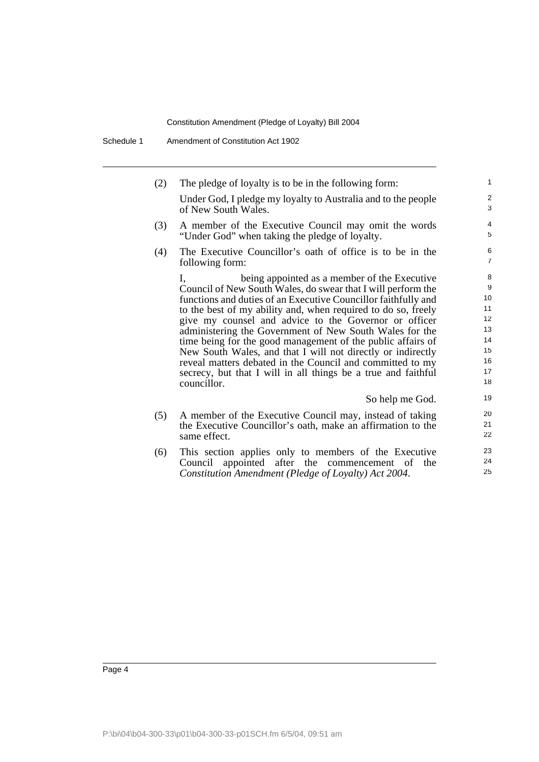| (2) | The pledge of loyalty is to be in the following form:                                                                                                                                                                                                                                                                                                                                                                                                                                                                                                                                                                                                | $\mathbf{1}$                                                 |
|-----|------------------------------------------------------------------------------------------------------------------------------------------------------------------------------------------------------------------------------------------------------------------------------------------------------------------------------------------------------------------------------------------------------------------------------------------------------------------------------------------------------------------------------------------------------------------------------------------------------------------------------------------------------|--------------------------------------------------------------|
|     | Under God, I pledge my loyalty to Australia and to the people<br>of New South Wales.                                                                                                                                                                                                                                                                                                                                                                                                                                                                                                                                                                 | 2<br>3                                                       |
| (3) | A member of the Executive Council may omit the words<br>"Under God" when taking the pledge of loyalty.                                                                                                                                                                                                                                                                                                                                                                                                                                                                                                                                               | $\overline{4}$<br>5                                          |
| (4) | The Executive Councillor's oath of office is to be in the<br>following form:                                                                                                                                                                                                                                                                                                                                                                                                                                                                                                                                                                         | 6<br>$\overline{7}$                                          |
|     | being appointed as a member of the Executive<br>Ι,<br>Council of New South Wales, do swear that I will perform the<br>functions and duties of an Executive Councillor faithfully and<br>to the best of my ability and, when required to do so, freely<br>give my counsel and advice to the Governor or officer<br>administering the Government of New South Wales for the<br>time being for the good management of the public affairs of<br>New South Wales, and that I will not directly or indirectly<br>reveal matters debated in the Council and committed to my<br>secrecy, but that I will in all things be a true and faithful<br>councillor. | 8<br>9<br>10<br>11<br>12<br>13<br>14<br>15<br>16<br>17<br>18 |
|     | So help me God.                                                                                                                                                                                                                                                                                                                                                                                                                                                                                                                                                                                                                                      | 19                                                           |
| (5) | A member of the Executive Council may, instead of taking<br>the Executive Councillor's oath, make an affirmation to the<br>same effect.                                                                                                                                                                                                                                                                                                                                                                                                                                                                                                              | 20<br>21<br>22                                               |
| (6) | This section applies only to members of the Executive<br>Council appointed after the commencement of<br>the<br>Constitution Amendment (Pledge of Loyalty) Act 2004.                                                                                                                                                                                                                                                                                                                                                                                                                                                                                  | 23<br>24<br>25                                               |

Page 4